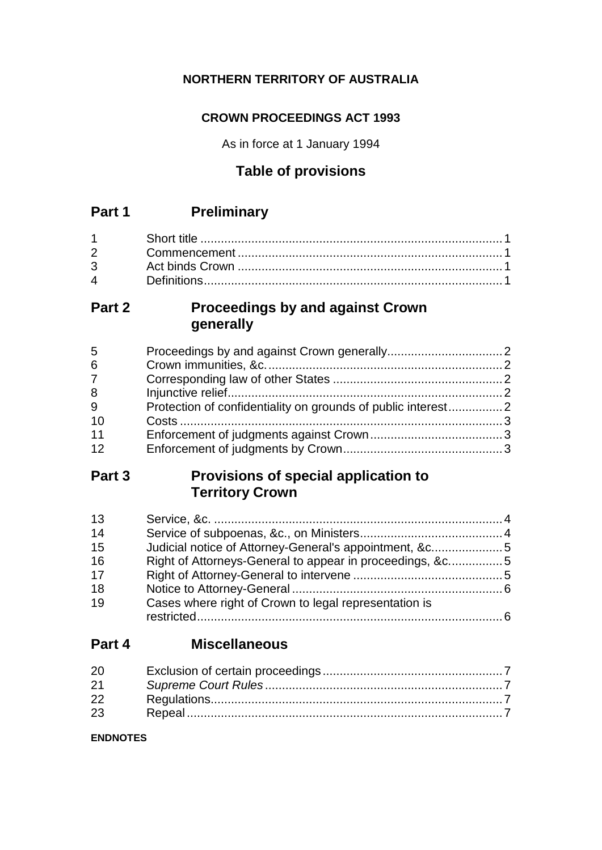### **NORTHERN TERRITORY OF AUSTRALIA**

### **CROWN PROCEEDINGS ACT 1993**

As in force at 1 January 1994

# **Table of provisions**

### **Part 1 Preliminary**

### **Part 2 Proceedings by and against Crown generally**

| 5              |  |
|----------------|--|
| 6              |  |
| $\overline{7}$ |  |
| 8              |  |
| 9              |  |
| 10             |  |
| 11             |  |
| 12             |  |
|                |  |

### **Part 3 Provisions of special application to Territory Crown**

| 13 |                                                          |  |
|----|----------------------------------------------------------|--|
| 14 |                                                          |  |
| 15 | Judicial notice of Attorney-General's appointment, &c5   |  |
| 16 | Right of Attorneys-General to appear in proceedings, &c5 |  |
| 17 |                                                          |  |
| 18 |                                                          |  |
| 19 | Cases where right of Crown to legal representation is    |  |
|    |                                                          |  |

## **Part 4 Miscellaneous**

| 20 |  |
|----|--|
| 21 |  |
| 22 |  |
| 23 |  |

#### **ENDNOTES**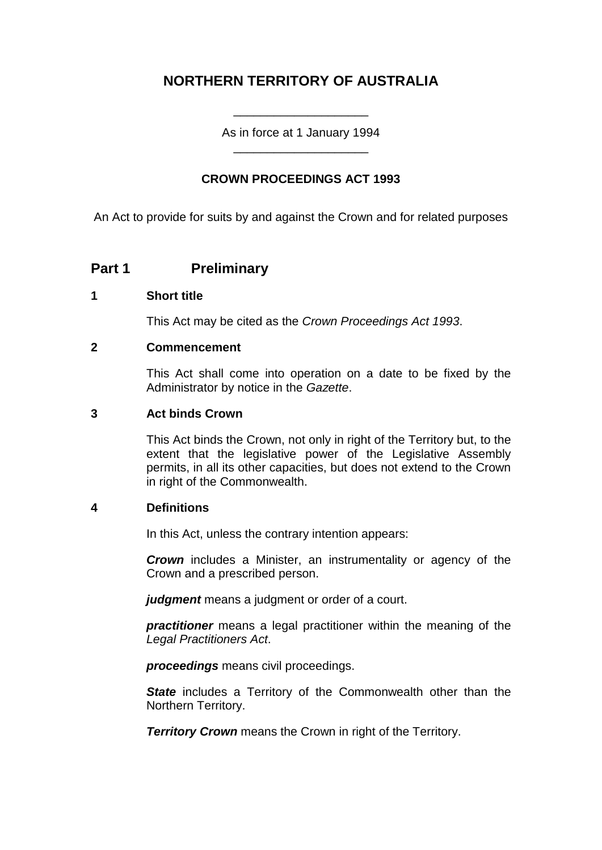### **NORTHERN TERRITORY OF AUSTRALIA**

As in force at 1 January 1994 \_\_\_\_\_\_\_\_\_\_\_\_\_\_\_\_\_\_\_\_

\_\_\_\_\_\_\_\_\_\_\_\_\_\_\_\_\_\_\_\_

#### **CROWN PROCEEDINGS ACT 1993**

An Act to provide for suits by and against the Crown and for related purposes

### **Part 1 Preliminary**

#### **1 Short title**

This Act may be cited as the *Crown Proceedings Act 1993*.

#### **2 Commencement**

This Act shall come into operation on a date to be fixed by the Administrator by notice in the *Gazette*.

#### **3 Act binds Crown**

This Act binds the Crown, not only in right of the Territory but, to the extent that the legislative power of the Legislative Assembly permits, in all its other capacities, but does not extend to the Crown in right of the Commonwealth.

#### **4 Definitions**

In this Act, unless the contrary intention appears:

*Crown* includes a Minister, an instrumentality or agency of the Crown and a prescribed person.

*judgment* means a judgment or order of a court.

*practitioner* means a legal practitioner within the meaning of the *Legal Practitioners Act*.

*proceedings* means civil proceedings.

**State** includes a Territory of the Commonwealth other than the Northern Territory.

**Territory Crown** means the Crown in right of the Territory.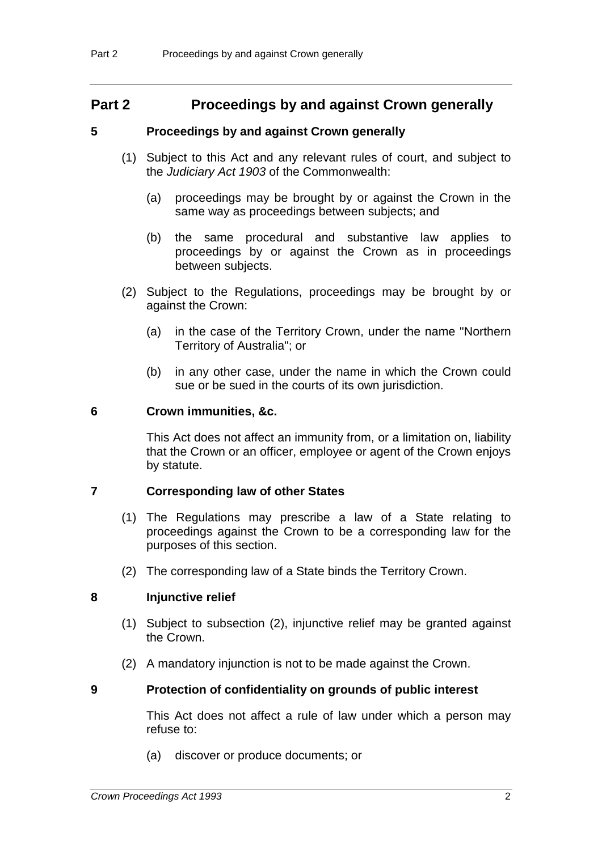### **Part 2 Proceedings by and against Crown generally**

#### **5 Proceedings by and against Crown generally**

- (1) Subject to this Act and any relevant rules of court, and subject to the *Judiciary Act 1903* of the Commonwealth:
	- (a) proceedings may be brought by or against the Crown in the same way as proceedings between subjects; and
	- (b) the same procedural and substantive law applies to proceedings by or against the Crown as in proceedings between subjects.
- (2) Subject to the Regulations, proceedings may be brought by or against the Crown:
	- (a) in the case of the Territory Crown, under the name "Northern Territory of Australia"; or
	- (b) in any other case, under the name in which the Crown could sue or be sued in the courts of its own jurisdiction.

#### **6 Crown immunities, &c.**

This Act does not affect an immunity from, or a limitation on, liability that the Crown or an officer, employee or agent of the Crown enjoys by statute.

#### **7 Corresponding law of other States**

- (1) The Regulations may prescribe a law of a State relating to proceedings against the Crown to be a corresponding law for the purposes of this section.
- (2) The corresponding law of a State binds the Territory Crown.

#### **8 Injunctive relief**

- (1) Subject to subsection (2), injunctive relief may be granted against the Crown.
- (2) A mandatory injunction is not to be made against the Crown.

#### **9 Protection of confidentiality on grounds of public interest**

This Act does not affect a rule of law under which a person may refuse to:

(a) discover or produce documents; or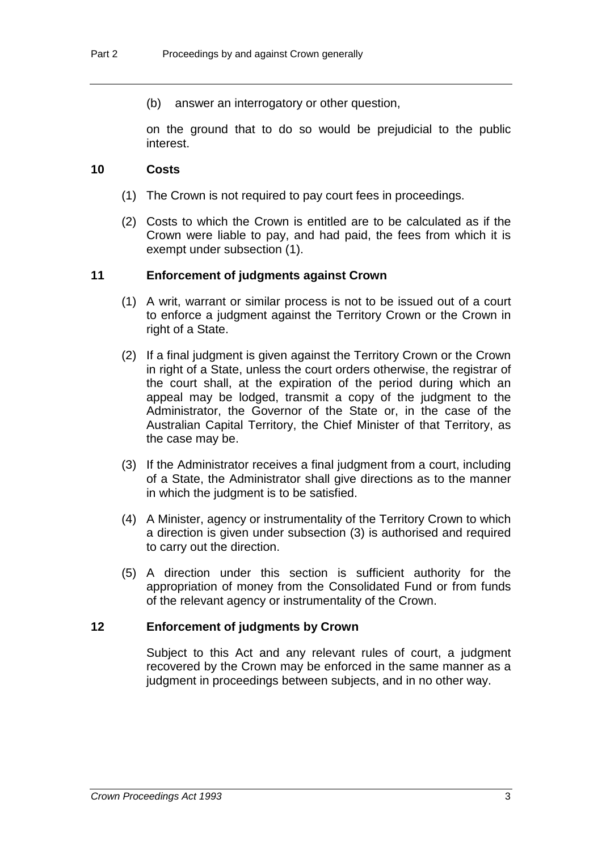(b) answer an interrogatory or other question,

on the ground that to do so would be prejudicial to the public interest.

#### **10 Costs**

- (1) The Crown is not required to pay court fees in proceedings.
- (2) Costs to which the Crown is entitled are to be calculated as if the Crown were liable to pay, and had paid, the fees from which it is exempt under subsection (1).

#### **11 Enforcement of judgments against Crown**

- (1) A writ, warrant or similar process is not to be issued out of a court to enforce a judgment against the Territory Crown or the Crown in right of a State.
- (2) If a final judgment is given against the Territory Crown or the Crown in right of a State, unless the court orders otherwise, the registrar of the court shall, at the expiration of the period during which an appeal may be lodged, transmit a copy of the judgment to the Administrator, the Governor of the State or, in the case of the Australian Capital Territory, the Chief Minister of that Territory, as the case may be.
- (3) If the Administrator receives a final judgment from a court, including of a State, the Administrator shall give directions as to the manner in which the judgment is to be satisfied.
- (4) A Minister, agency or instrumentality of the Territory Crown to which a direction is given under subsection (3) is authorised and required to carry out the direction.
- (5) A direction under this section is sufficient authority for the appropriation of money from the Consolidated Fund or from funds of the relevant agency or instrumentality of the Crown.

#### **12 Enforcement of judgments by Crown**

Subject to this Act and any relevant rules of court, a judgment recovered by the Crown may be enforced in the same manner as a judgment in proceedings between subjects, and in no other way.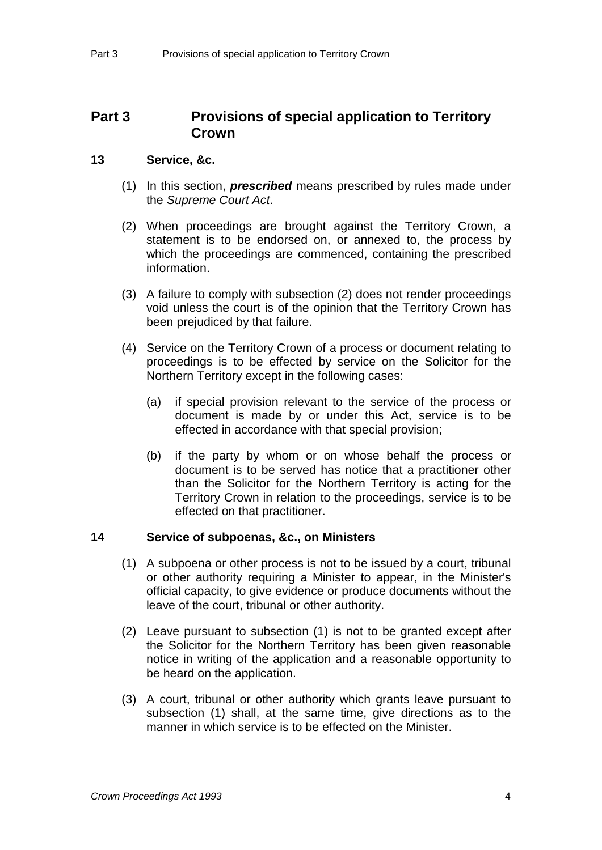### **Part 3 Provisions of special application to Territory Crown**

#### **13 Service, &c.**

- (1) In this section, *prescribed* means prescribed by rules made under the *Supreme Court Act*.
- (2) When proceedings are brought against the Territory Crown, a statement is to be endorsed on, or annexed to, the process by which the proceedings are commenced, containing the prescribed information.
- (3) A failure to comply with subsection (2) does not render proceedings void unless the court is of the opinion that the Territory Crown has been prejudiced by that failure.
- (4) Service on the Territory Crown of a process or document relating to proceedings is to be effected by service on the Solicitor for the Northern Territory except in the following cases:
	- (a) if special provision relevant to the service of the process or document is made by or under this Act, service is to be effected in accordance with that special provision;
	- (b) if the party by whom or on whose behalf the process or document is to be served has notice that a practitioner other than the Solicitor for the Northern Territory is acting for the Territory Crown in relation to the proceedings, service is to be effected on that practitioner.

#### **14 Service of subpoenas, &c., on Ministers**

- (1) A subpoena or other process is not to be issued by a court, tribunal or other authority requiring a Minister to appear, in the Minister's official capacity, to give evidence or produce documents without the leave of the court, tribunal or other authority.
- (2) Leave pursuant to subsection (1) is not to be granted except after the Solicitor for the Northern Territory has been given reasonable notice in writing of the application and a reasonable opportunity to be heard on the application.
- (3) A court, tribunal or other authority which grants leave pursuant to subsection (1) shall, at the same time, give directions as to the manner in which service is to be effected on the Minister.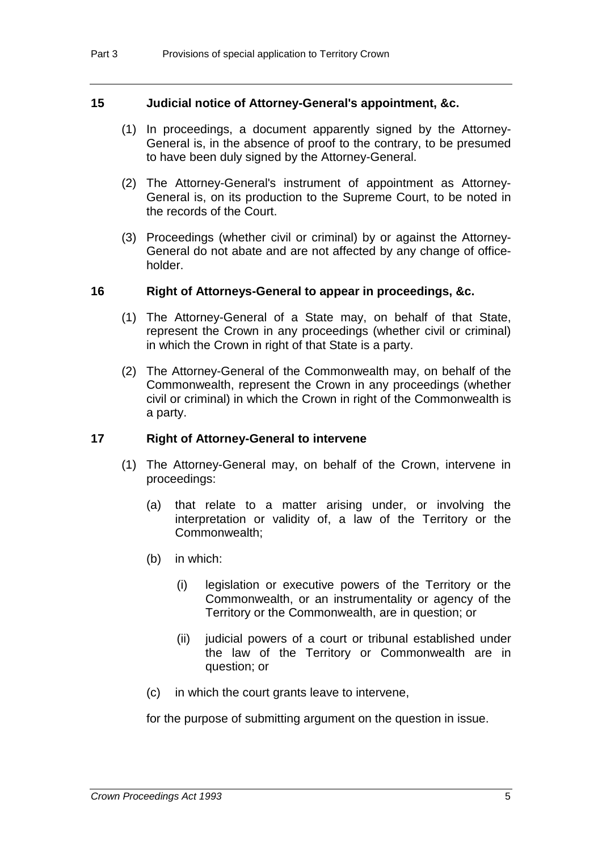#### **15 Judicial notice of Attorney-General's appointment, &c.**

- (1) In proceedings, a document apparently signed by the Attorney-General is, in the absence of proof to the contrary, to be presumed to have been duly signed by the Attorney-General.
- (2) The Attorney-General's instrument of appointment as Attorney-General is, on its production to the Supreme Court, to be noted in the records of the Court.
- (3) Proceedings (whether civil or criminal) by or against the Attorney-General do not abate and are not affected by any change of officeholder.

#### **16 Right of Attorneys-General to appear in proceedings, &c.**

- (1) The Attorney-General of a State may, on behalf of that State, represent the Crown in any proceedings (whether civil or criminal) in which the Crown in right of that State is a party.
- (2) The Attorney-General of the Commonwealth may, on behalf of the Commonwealth, represent the Crown in any proceedings (whether civil or criminal) in which the Crown in right of the Commonwealth is a party.

#### **17 Right of Attorney-General to intervene**

- (1) The Attorney-General may, on behalf of the Crown, intervene in proceedings:
	- (a) that relate to a matter arising under, or involving the interpretation or validity of, a law of the Territory or the Commonwealth;
	- (b) in which:
		- (i) legislation or executive powers of the Territory or the Commonwealth, or an instrumentality or agency of the Territory or the Commonwealth, are in question; or
		- (ii) judicial powers of a court or tribunal established under the law of the Territory or Commonwealth are in question; or
	- (c) in which the court grants leave to intervene,

for the purpose of submitting argument on the question in issue.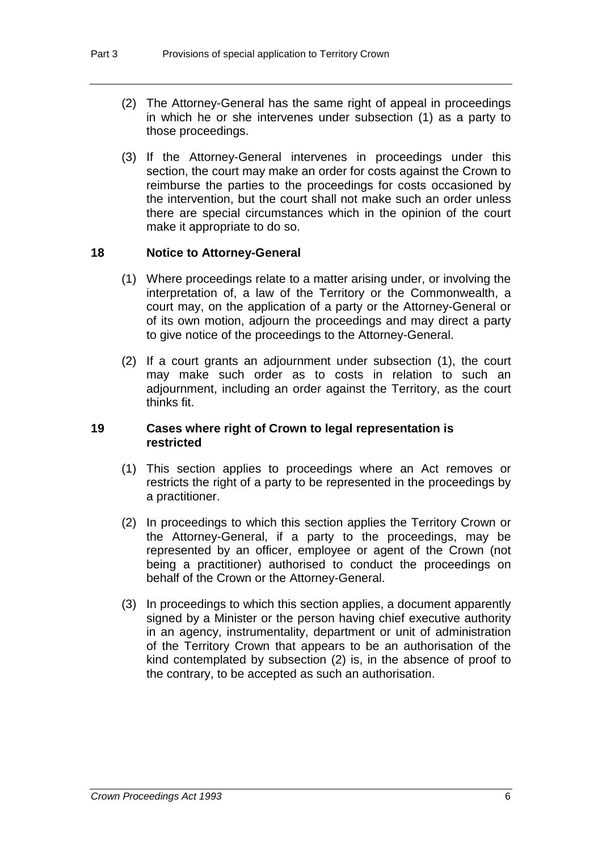- (2) The Attorney-General has the same right of appeal in proceedings in which he or she intervenes under subsection (1) as a party to those proceedings.
- (3) If the Attorney-General intervenes in proceedings under this section, the court may make an order for costs against the Crown to reimburse the parties to the proceedings for costs occasioned by the intervention, but the court shall not make such an order unless there are special circumstances which in the opinion of the court make it appropriate to do so.

#### **18 Notice to Attorney-General**

- (1) Where proceedings relate to a matter arising under, or involving the interpretation of, a law of the Territory or the Commonwealth, a court may, on the application of a party or the Attorney-General or of its own motion, adjourn the proceedings and may direct a party to give notice of the proceedings to the Attorney-General.
- (2) If a court grants an adjournment under subsection (1), the court may make such order as to costs in relation to such an adjournment, including an order against the Territory, as the court thinks fit.

#### **19 Cases where right of Crown to legal representation is restricted**

- (1) This section applies to proceedings where an Act removes or restricts the right of a party to be represented in the proceedings by a practitioner.
- (2) In proceedings to which this section applies the Territory Crown or the Attorney-General, if a party to the proceedings, may be represented by an officer, employee or agent of the Crown (not being a practitioner) authorised to conduct the proceedings on behalf of the Crown or the Attorney-General.
- (3) In proceedings to which this section applies, a document apparently signed by a Minister or the person having chief executive authority in an agency, instrumentality, department or unit of administration of the Territory Crown that appears to be an authorisation of the kind contemplated by subsection (2) is, in the absence of proof to the contrary, to be accepted as such an authorisation.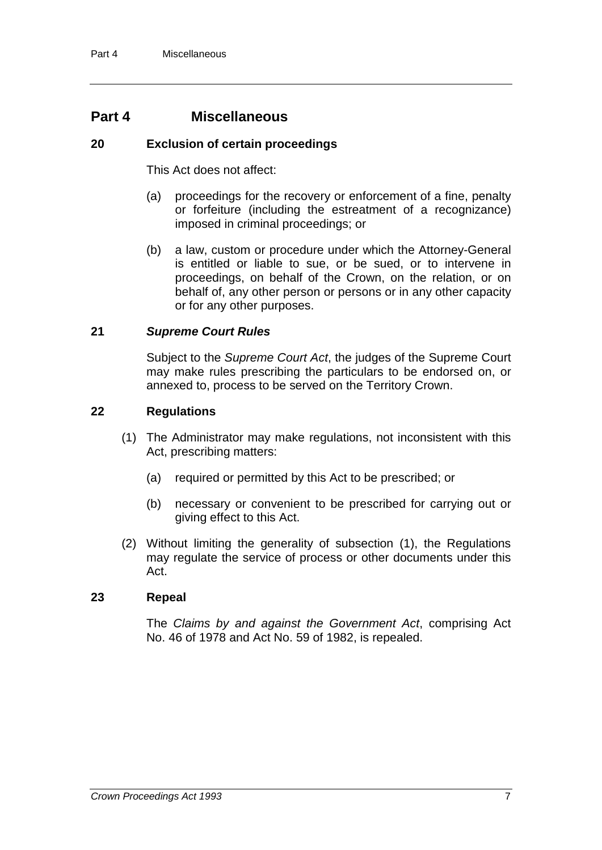### **Part 4 Miscellaneous**

#### **20 Exclusion of certain proceedings**

This Act does not affect:

- (a) proceedings for the recovery or enforcement of a fine, penalty or forfeiture (including the estreatment of a recognizance) imposed in criminal proceedings; or
- (b) a law, custom or procedure under which the Attorney-General is entitled or liable to sue, or be sued, or to intervene in proceedings, on behalf of the Crown, on the relation, or on behalf of, any other person or persons or in any other capacity or for any other purposes.

#### **21** *Supreme Court Rules*

Subject to the *Supreme Court Act*, the judges of the Supreme Court may make rules prescribing the particulars to be endorsed on, or annexed to, process to be served on the Territory Crown.

#### **22 Regulations**

- (1) The Administrator may make regulations, not inconsistent with this Act, prescribing matters:
	- (a) required or permitted by this Act to be prescribed; or
	- (b) necessary or convenient to be prescribed for carrying out or giving effect to this Act.
- (2) Without limiting the generality of subsection (1), the Regulations may regulate the service of process or other documents under this Act.

#### **23 Repeal**

The *Claims by and against the Government Act*, comprising Act No. 46 of 1978 and Act No. 59 of 1982, is repealed.